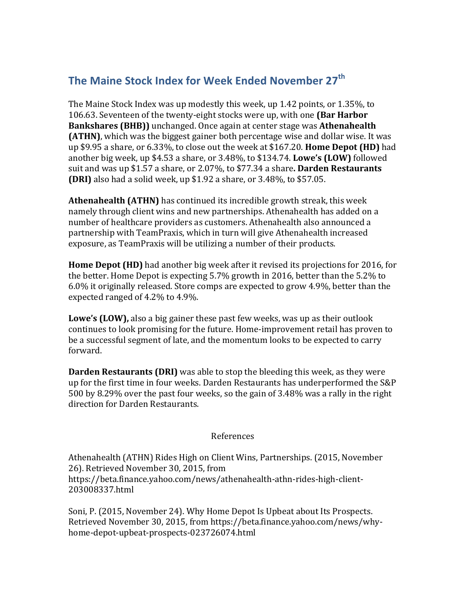## **The Maine Stock Index for Week Ended November 27<sup>th</sup>**

The Maine Stock Index was up modestly this week, up 1.42 points, or 1.35%, to 106.63. Seventeen of the twenty-eight stocks were up, with one **(Bar Harbor Bankshares (BHB))** unchanged. Once again at center stage was **Athenahealth (ATHN)**, which was the biggest gainer both percentage wise and dollar wise. It was up \$9.95 a share, or 6.33%, to close out the week at \$167.20. **Home Depot (HD)** had another big week, up \$4.53 a share, or 3.48%, to \$134.74. **Lowe's (LOW)** followed suit and was up \$1.57 a share, or 2.07%, to \$77.34 a share. **Darden Restaurants (DRI)** also had a solid week, up \$1.92 a share, or 3.48%, to \$57.05.

**Athenahealth (ATHN)** has continued its incredible growth streak, this week namely through client wins and new partnerships. Athenahealth has added on a number of healthcare providers as customers. Athenahealth also announced a partnership with TeamPraxis, which in turn will give Athenahealth increased exposure, as TeamPraxis will be utilizing a number of their products.

**Home Depot (HD)** had another big week after it revised its projections for 2016, for the better. Home Depot is expecting  $5.7\%$  growth in 2016, better than the  $5.2\%$  to  $6.0\%$  it originally released. Store comps are expected to grow 4.9%, better than the expected ranged of 4.2% to 4.9%.

**Lowe's (LOW)**, also a big gainer these past few weeks, was up as their outlook continues to look promising for the future. Home-improvement retail has proven to be a successful segment of late, and the momentum looks to be expected to carry forward. 

**Darden Restaurants (DRI)** was able to stop the bleeding this week, as they were up for the first time in four weeks. Darden Restaurants has underperformed the S&P 500 by 8.29% over the past four weeks, so the gain of 3.48% was a rally in the right direction for Darden Restaurants.

## References

Athenahealth (ATHN) Rides High on Client Wins, Partnerships. (2015, November 26). Retrieved November 30, 2015, from https://beta.finance.yahoo.com/news/athenahealth-athn-rides-high-client-203008337.html

Soni, P. (2015, November 24). Why Home Depot Is Upbeat about Its Prospects. Retrieved November 30, 2015, from https://beta.finance.yahoo.com/news/whyhome-depot-upbeat-prospects-023726074.html